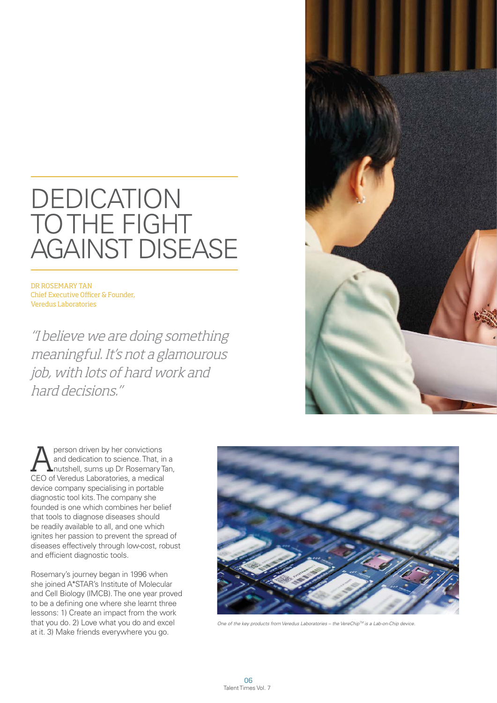## DEDICATION TO THE FIGHT AGAINST DISEASE

DR ROSEMARY TAN Chief Executive Officer & Founder, Veredus Laboratories

"I believe we are doing something meaningful. It's not a glamourous job, with lots of hard work and hard decisions."



**A** person driven by her convictions<br>
and dedication to science. That, in a<br>
nutshell, sums up Dr Rosemary Tan, and dedication to science. That, in a CEO of Veredus Laboratories, a medical device company specialising in portable diagnostic tool kits. The company she founded is one which combines her belief that tools to diagnose diseases should be readily available to all, and one which ignites her passion to prevent the spread of diseases effectively through low-cost, robust and efficient diagnostic tools.

Rosemary's journey began in 1996 when she joined A\*STAR's Institute of Molecular and Cell Biology (IMCB). The one year proved to be a defining one where she learnt three lessons: 1) Create an impact from the work that you do. 2) Love what you do and excel at it. 3) Make friends everywhere you go.



*One of the key products from Veredus Laboratories – the VereChipTM is a Lab-on-Chip device.*